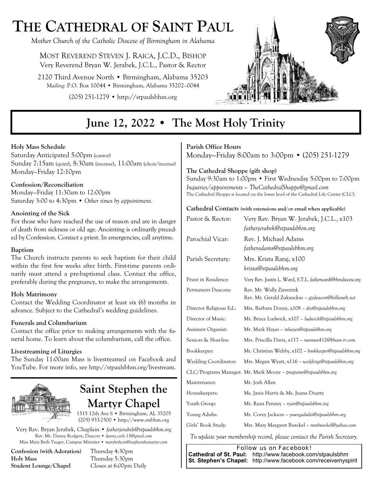# **THE CATHEDRAL OF SAINT PAUL**

*Mother Church of the Catholic Diocese of Birmingham in Alabama* 

MOST REVEREND STEVEN J. RAICA, J.C.D., BISHOP Very Reverend Bryan W. Jerabek, J.C.L., Pastor & Rector

2120 Third Avenue North • Birmingham, Alabama 35203 *Mailing:* P.O. Box 10044 • Birmingham, Alabama 35202–0044

(205) 251-1279 • http://stpaulsbhm.org



## **June 12, 2022 • The Most Holy Trinity**

#### **Holy Mass Schedule**

Saturday Anticipated 5:00pm (cantor) Sunday 7:15am (quiet), 8:30am (incense), 11:00am (choir/incense) Monday–Friday 12:10pm

#### **Confession/Reconciliation**

Monday—Friday 11:30am to 12:00pm Saturday 3:00 to 4:30pm • *Other times by appointment.* 

#### **Anointing of the Sick**

For those who have reached the use of reason and are in danger of death from sickness or old age. Anointing is ordinarily preceded by Confession. Contact a priest. In emergencies, call anytime.

#### **Baptism**

The Church instructs parents to seek baptism for their child within the first few weeks after birth. First-time parents ordinarily must attend a pre-baptismal class. Contact the office, preferably during the pregnancy, to make the arrangements.

#### **Holy Matrimony**

Contact the Wedding Coordinator at least six (6) months in advance. Subject to the Cathedral's wedding guidelines.

#### **Funerals and Columbarium**

Contact the office prior to making arrangements with the funeral home. To learn about the columbarium, call the office.

#### **Livestreaming of Liturgies**

The Sunday 11:00am Mass is livestreamed on Facebook and YouTube. For more info, see http://stpaulsbhm.org/livestream.



## **Saint Stephen the Martyr Chapel**

1515 12th Ave S • Birmingham, AL 35205 (205) 933-2500 • http://www.stsbhm.org

Very Rev. Bryan Jerabek, Chaplain • *fatherjerabek@stpaulsbhm.org* Rev. Mr. Danny Rodgers, Deacon • *danny.cath.13@gmail.com* Miss Mary Beth Yaeger, Campus Minister • *marybethcm@stephenthemartyr.com* 

**Confession (with Adoration)** Thursday 4:30pm **Holy Mass** Thursday 5:30pm **Student Lounge/Chapel** Closes at 6:00pm Daily

#### **Parish Office Hours**

Monday—Friday 8:00am to 3:00pm • (205) 251-1279

#### **The Cathedral Shoppe (gift shop)**

Sunday 9:30am to 1:00pm • First Wednesday 5:00pm to 7:00pm *Inquiries/appointments – TheCathedralShoppe@gmail.com*  The Cathedral Shoppe is located on the lower level of the Cathedral Life Center (CLC).

#### **Cathedral Contacts (with extensions and/or email when applicable)**

| Pastor & Rector:        | Very Rev. Bryan W. Jerabek, J.C.L., x103<br>fatherjerabek@stpaulsbhm.org        |  |
|-------------------------|---------------------------------------------------------------------------------|--|
| Parochial Vicar:        | Rev. J. Michael Adams<br>fatheradams@stpaulsbhm.org                             |  |
| Parish Secretary:       | Mrs. Krista Rataj, x100<br>krista@stpaulsbhm.org                                |  |
| Priest in Residence:    | Very Rev. Justin L. Ward, S.T.L. fatherward@bhmdiocese.org                      |  |
| Permanent Deacons:      | Rev. Mr. Wally Zieverink<br>Rev. Mr. Gerald Zukauckas - gjzdeacon@bellsouth.net |  |
| Director Religious Ed.: | Mrs. Barbara Doran, x108 – dre@stpaulsbhm.org                                   |  |
| Director of Music:      | Mr. Bruce Ludwick, x107 – ludwick@stpaulsbhm.org                                |  |
| Assistant Organist:     | Mr. Mark Hayes - mhayes@stpaulsbhm.org                                          |  |
| Seniors & Shut-Ins:     | Mrs. Priscilla Davis, x117 – runnun412@bham.rr.com                              |  |
| Bookkeeper:             | Mr. Christian Wehby, x102 - bookkeeper@stpaulsbhm.org                           |  |
| Wedding Coordinator:    | Mrs. Megan Wyatt, x116 - weddings@stpaulsbhm.org                                |  |
|                         | CLC/Programs Manager: Mr. Mark Moore – programs@stpaulsbhm.org                  |  |
| Maintenance:            | Mr. Josh Allan                                                                  |  |
| Housekeepers:           | Ms. Janis Harris & Ms. Juana Duarte                                             |  |
| Youth Group:            | Mr. Ryan Penney – ryan@stpaulsbhm.org                                           |  |
| Young Adults:           | Mr. Corey Jackson - youngadults@stpaulsbhm.org                                  |  |
| Girls' Book Study:      | Mrs. Mary Margaret Burckel – mmburckel@yahoo.com                                |  |

*To update your membership record, please contact the Parish Secretary.* 

*Follow us on Facebook!*   **Cathedral of St. Paul:** http://www.facebook.com/stpaulsbhm  **St. Stephen's Chapel:** http://www.facebook.com/receivemyspirit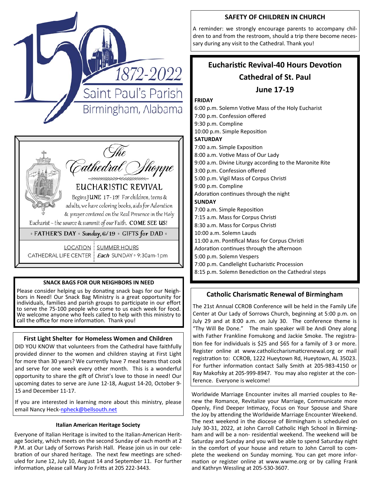



#### **SNACK BAGS FOR OUR NEIGHBORS IN NEED**

Please consider helping us by donating snack bags for our Neighbors in Need! Our Snack Bag Ministry is a great opportunity for individuals, families and parish groups to participate in our effort to serve the 75-100 people who come to us each week for food. We welcome anyone who feels called to help with this ministry to call the office for more information. Thank you!

#### **First Light Shelter for Homeless Women and Children**

DID YOU KNOW that volunteers from the Cathedral have faithfully provided dinner to the women and children staying at First Light for more than 30 years? We currently have 7 meal teams that cook and serve for one week every other month. This is a wonderful opportunity to share the gift of Christ's love to those in need! Our upcoming dates to serve are June 12-18, August 14-20, October 9- 15 and December 11-17.

If you are interested in learning more about this ministry, please email Nancy Heck-npheck@bellsouth.net

#### **Italian American Heritage Society**

Everyone of Italian Heritage is invited to the Italian-American Heritage Society, which meets on the second Sunday of each month at 2 P.M. at Our Lady of Sorrows Parish Hall. Please join us in our celebration of our shared heritage. The next few meetings are scheduled for June 12, July 10, August 14 and September 11. For further information, please call Mary Jo Fritts at 205 222-3443.

#### **SAFETY OF CHILDREN IN CHURCH**

A reminder: we strongly encourage parents to accompany children to and from the restroom, should a trip there become necessary during any visit to the Cathedral. Thank you!

### **Eucharistic Revival-40 Hours Devotion Cathedral of St. Paul June 17‐19**

#### **FRIDAY**

6:00 p.m. Solemn Votive Mass of the Holy Eucharist 7:00 p.m. Confession offered 9:30 p.m. Compline 10:00 p.m. Simple Reposition SATURDAY 7:00 a.m. Simple Exposition 8:00 a.m. Votive Mass of Our Lady 9:00 a.m. Divine Liturgy according to the Maronite Rite 3:00 p.m. Confession offered 5:00 p.m. Vigil Mass of Corpus Christi 9:00 p.m. Compline Adoration continues through the night **SUNDAY** 7:00 a.m. Simple Reposition 7:15 a.m. Mass for Corpus Christi 8:30 a.m. Mass for Corpus Christi 10:00 a.m. Solemn Lauds 11:00 a.m. Pontifical Mass for Corpus Christi Adoration continues through the afternoon 5:00 p.m. Solemn Vespers 7:00 p.m. Candlelight Eucharistic Procession 8:15 p.m. Solemn Benediction on the Cathedral steps

#### **Catholic CharismaƟc Renewal of Birmingham**

The 21st Annual CCROB Conference will be held in the Family Life Center at Our Lady of Sorrows Church, beginning at 5:00 p.m. on July 29 and at 8:00 a.m. on July 30. The conference theme is "Thy Will Be Done." The main speaker will be Andi Oney along with Father Frankline Fomukong and Jackie Smoke. The registration fee for individuals is \$25 and \$65 for a family of 3 or more. Register online at www.catholiccharismaticrenewal.org or mail registration to: CCROB, 1222 Hueytown Rd, Hueytown, AL 35023. For further information contact Sally Smith at 205-983-4150 or Ray Makofsky at 205-999-8947. You may also register at the conference. Everyone is welcome!

Worldwide Marriage Encounter invites all married couples to Renew the Romance, Revitalize your Marriage, Communicate more Openly, Find Deeper Intimacy, Focus on Your Spouse and Share the Joy by attending the Worldwide Marriage Encounter Weekend. The next weekend in the diocese of Birmingham is scheduled on July 30-31, 2022, at John Carroll Catholic High School in Birmingham and will be a non- residential weekend. The weekend will be Saturday and Sunday and you will be able to spend Saturday night in the comfort of your house and return to John Carroll to complete the weekend on Sunday morning. You can get more information or register online at www.wwme.org or by calling Frank and Kathryn Wessling at 205-530-3607.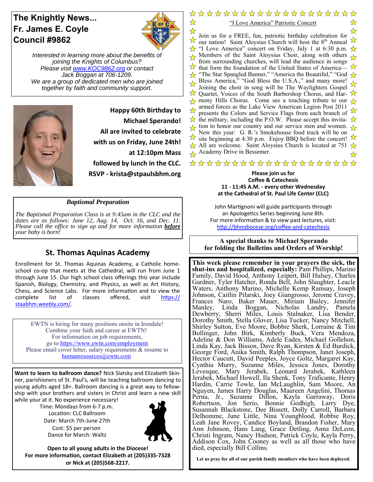### **The Knightly News... Fr. James E. Coyle Council #9862**



☆

*Interested in learning more about the benefits of joining the Knights of Columbus? Please visit www.KOC9862.org or contact Jack Boggan at 706-1209. We are a group of dedicated men who are joined together by faith and community support.*



**Happy 60th Birthday to Michael Sperando! All are invited to celebrate with us on Friday, June 24th! at 12:10pm Mass followed by lunch in the CLC. RSVP ‐ krista@stpaulsbhm.org** 

*Baptismal Preparation* 

*The Baptismal Preparation Class is at 9:45am in the CLC and the dates are as follows: June 12, Aug. 14, Oct. 16, and Dec. 11. Please call the office to sign up and for more information <i>before your baby is born!* 

#### **St. Thomas Aquinas Academy**

Enrollment for St. Thomas Aquinas Academy, a Catholic homeschool co-op that meets at the Cathedral, will run from June 1 through June 15. Our high school class offerings this year include Spanish, Biology, Chemistry, and Physics, as well as Art History, Chess, and Science Labs. For more information and to view the complete list of classes offered, visit https:// staabhm.weebly.com/.

EWTN is hiring for many positions onsite in Irondale! Combine your faith and career at EWTN! For information on job requirements, go to https://www.ewtn.com/employment Please email cover letter, salary requirements & resume to humanresources@ewtn.com

**Want to learn to ballroom dance?** Nick Slatsky and Elizabeth Skinner, parishioners of St. Paul's, will be teaching ballroom dancing to young adults aged 18+. Ballroom dancing is a great way to fellowship with your brothers and sisters in Christ and learn a new skill while your at it. No experience necessary!

Time: Mondays from 6-7 p.m. Location: CLC Ballroom Date: March 7th-June 27th Cost: \$5 per person Dance for March: Waltz



**Open to all young adults in the Diocese! For more informaƟon, contact Elizabeth at (205)335‐7328 or Nick at (205)568‐2217.** 

\*\*\*\*\*\*\*\*\*\*\*\*\*\*\*\*\*\*\* "I Love America" Patriotic Concert

☆ ☆ Join us for a FREE, fun, patriotic birthday celebration for  $\lambda$  bold us for a FKEE, full, patholic bifulary celebration for  $\lambda$  our nation! Saint Aloysius Church will host the 8<sup>th</sup> Annual  $\lambda$  $\frac{1}{\sqrt{x}}$  "I Love America" concert on Friday, July 1 at 6:30 p.m.  $\frac{1}{\sqrt{x}}$ Members of the Saint Aloysius Choir, along with others  $\lambda$ from surrounding churches, will lead the audience in songs that form the foundation of the United States of America— $\overrightarrow{X}$  $\overrightarrow{X}$  that form the foundation of the United States of America—  $\frac{1}{\sqrt{2}}$  "The Star Spangled Banner," "America the Beautiful," "God  $\frac{1}{\sqrt{2}}$ Bless America," "God Bless the U.S.A.," and many more! Joining the choir in song will be The Waylighters Gospel  $\overrightarrow{\mathcal{K}}$  Quartet, Voices of the South Barbershop Chorus, and Har- $\frac{1}{\sqrt{2}}$  mony Hills Chorus. Come see a touching tribute to our  $\frac{1}{\sqrt{2}}$ armed forces as the Lake View American Legion Post 2011 presents the Colors and Service Flags from each branch of  $\overrightarrow{\mathbf{x}}$  the military, including the P.O.W. Please accept this invita- $\frac{1}{\sqrt{2}}$  tion to honor our country and our service men and women. New this year: G. R.'s Smokehouse food truck will be on site beginning at 4:30 p.m. Enjoy BBQ before the concert! All are welcome. Saint Aloysius Church is located at 751  $\frac{1}{\sqrt{2}}$ Academy Drive in Bessemer.

\*\*\*\*\*\*\*\*\*\*\*\*\*\*\*\*\*\*\*\*

**Please join us for Coffee & Catechesis 11 ‐ 11:45 A.M. ‐ every other Wednesday at the Cathedral of St. Paul Life Center (CLC)** 

John Martignoni will guide participants through an Apologetics Series beginning June 8th. For more information & to view past lectures, visit: http://bhmdiocese.org/coffee-and-catechesis

**A special thanks to Michael Sperando for folding the Bulletins and Orders of Worship!** 

**This week please remember in your prayers the sick, the shut-ins and hospitalized, especially:** Pam Phillips, Marino Family, David Hood, Anthony Leipert, Bill Hulsey, Charles Gardner, Tyler Hatcher, Ronda Bell, John Slaughter, Leacle Waters, Anthony Marino, Michelle Kemp Ramsay, Joseph Johnson, Caitlin Pilarski, Joey Giangrosso, Jerome Cravey, Frances Naro, Baker Mauer, Miriam Bailey, Jennifer Manley, Linda Boggan, Nicholas Landry, Pamela Dewberry, Sherri Miles, Louis Stalnaker, Lisa Bender, Dorothy Smith, Stella Glover, Lisa Tucker, Nancy Mitchell, Shirley Sutton, Eve Moore, Bobbie Sherk, Lorraine & Tim Bollinger, John Birk, Kimberly Buck, Vera Mendoza, Adeline & Don Williams, Adele Eades, Michael Gollehon, Linda Kay, Jack Bisson, Dave Ryan, Kirsten & Ed Burdick, George Ford, Anika Smith, Ralph Thompson, Janet Joseph, Hector Caucutt, David Peeples, Joyce Goltz, Margaret Kay, Cynthia Murry, Suzanne Miles, Jessica Jones, Dorothy Levesque, Mary Jerabek, Leonard Jerabek, Kathleen Jerabek, Michael Howell, Ila Shenk, Tony Traficante, Henry Hardin, Carrie Towle, Ian McLaughlin, Sam Moore, An Nguyen, James Harry Douglas, Maureen Angelini, Thomas Perna, Jr., Suzanne Dillon, Kayla Garraway, Doris Robertson, Jon Serio, Bonnie Godhigh, Larry Dye, Susannah Blackstone, Dee Bissett, Dolly Carroll, Barbara Delhomme, June Little, Nina Youngblood, Robbie Roy, Leah Jane Rovey, Candice Boyland, Brandon Fisher, Mary Ann Johnson, Hans Lang, Grace Detling, Anna DeLeon, Christi Ingram, Nancy Hudson, Patrick Coyle, Kayla Perry, Addison Cox, John Cooney as well as all those who have died, especially Bill Collins.

**Let us pray for all of our parish family members who have been deployed.**